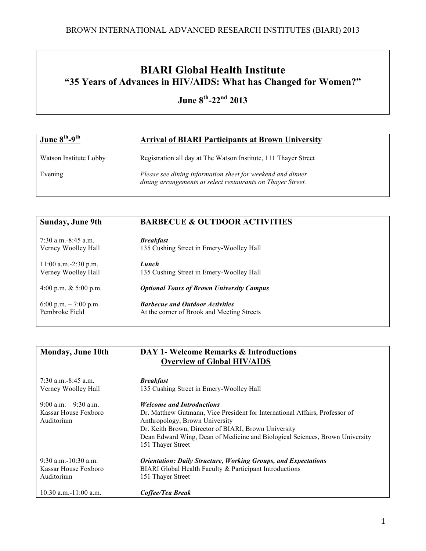# **BIARI Global Health Institute "35 Years of Advances in HIV/AIDS: What has Changed for Women?"**

**June 8th-22nd 2013**

| June 8 <sup>th</sup> -9 <sup>th</sup> | <b>Arrival of BIARI Participants at Brown University</b>                                                                  |
|---------------------------------------|---------------------------------------------------------------------------------------------------------------------------|
| Watson Institute Lobby                | Registration all day at The Watson Institute, 111 Thayer Street                                                           |
| Evening                               | Please see dining information sheet for weekend and dinner<br>dining arrangements at select restaurants on Thayer Street. |

| Sunday, June 9th          | <b>BARBECUE &amp; OUTDOOR ACTIVITIES</b>         |
|---------------------------|--------------------------------------------------|
| $7:30$ a.m. $-8:45$ a.m.  | <b>Breakfast</b>                                 |
| Verney Woolley Hall       | 135 Cushing Street in Emery-Woolley Hall         |
| $11:00$ a.m. $-2:30$ p.m. | Lunch                                            |
| Verney Woolley Hall       | 135 Cushing Street in Emery-Woolley Hall         |
| 4:00 p.m. $& 5:00$ p.m.   | <b>Optional Tours of Brown University Campus</b> |
| 6:00 p.m. $-7:00$ p.m.    | <b>Barbecue and Outdoor Activities</b>           |
| Pembroke Field            | At the corner of Brook and Meeting Streets       |

| <b>Monday, June 10th</b> | <b>DAY 1- Welcome Remarks &amp; Introductions</b> |
|--------------------------|---------------------------------------------------|
|                          | <b>Overview of Global HIV/AIDS</b>                |

| $7:30$ a.m. $-8:45$ a.m.                                       | <b>Breakfast</b>                                                                                                                                                                                                                                                                                               |
|----------------------------------------------------------------|----------------------------------------------------------------------------------------------------------------------------------------------------------------------------------------------------------------------------------------------------------------------------------------------------------------|
| Verney Woolley Hall                                            | 135 Cushing Street in Emery-Woolley Hall                                                                                                                                                                                                                                                                       |
| $9:00$ a.m. $-9:30$ a.m.<br>Kassar House Foxboro<br>Auditorium | <b>Welcome and Introductions</b><br>Dr. Matthew Gutmann, Vice President for International Affairs, Professor of<br>Anthropology, Brown University<br>Dr. Keith Brown, Director of BIARI, Brown University<br>Dean Edward Wing, Dean of Medicine and Biological Sciences, Brown University<br>151 Thayer Street |
| $9:30$ a.m. $-10:30$ a.m.                                      | <i><b>Orientation: Daily Structure, Working Groups, and Expectations</b></i>                                                                                                                                                                                                                                   |
| Kassar House Foxboro                                           | BIARI Global Health Faculty & Participant Introductions                                                                                                                                                                                                                                                        |
| Auditorium                                                     | 151 Thaver Street                                                                                                                                                                                                                                                                                              |
| $10:30$ a.m. $-11:00$ a.m.                                     | Coffee/Tea Break                                                                                                                                                                                                                                                                                               |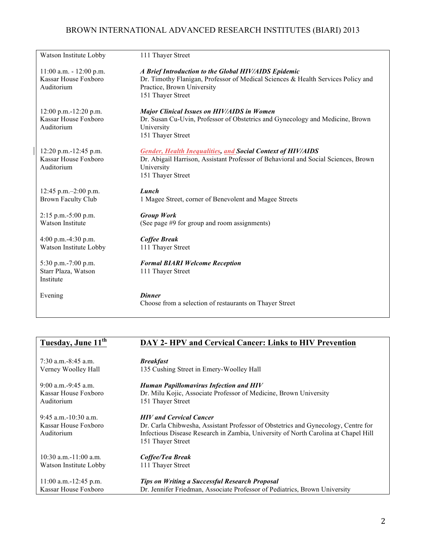| Watson Institute Lobby                                            | 111 Thayer Street                                                                                                                                                                           |
|-------------------------------------------------------------------|---------------------------------------------------------------------------------------------------------------------------------------------------------------------------------------------|
| $11:00$ a.m. - $12:00$ p.m.<br>Kassar House Foxboro<br>Auditorium | A Brief Introduction to the Global HIV/AIDS Epidemic<br>Dr. Timothy Flanigan, Professor of Medical Sciences & Health Services Policy and<br>Practice, Brown University<br>151 Thayer Street |
| 12:00 p.m.-12:20 p.m.<br>Kassar House Foxboro<br>Auditorium       | <b>Major Clinical Issues on HIV/AIDS in Women</b><br>Dr. Susan Cu-Uvin, Professor of Obstetrics and Gynecology and Medicine, Brown<br>University<br>151 Thayer Street                       |
| $12:20$ p.m.-12:45 p.m.<br>Kassar House Foxboro<br>Auditorium     | <b>Gender, Health Inequalities, and Social Context of HIV/AIDS</b><br>Dr. Abigail Harrison, Assistant Professor of Behavioral and Social Sciences, Brown<br>University<br>151 Thayer Street |
| 12:45 p.m.-2:00 p.m.<br><b>Brown Faculty Club</b>                 | Lunch<br>1 Magee Street, corner of Benevolent and Magee Streets                                                                                                                             |
| 2:15 p.m.-5:00 p.m.<br><b>Watson Institute</b>                    | <b>Group Work</b><br>(See page #9 for group and room assignments)                                                                                                                           |
| 4:00 p.m. $-4:30$ p.m.<br>Watson Institute Lobby                  | <b>Coffee Break</b><br>111 Thayer Street                                                                                                                                                    |
| 5:30 p.m.-7:00 p.m.<br>Starr Plaza, Watson<br>Institute           | <b>Formal BIARI Welcome Reception</b><br>111 Thayer Street                                                                                                                                  |
| Evening                                                           | <b>Dinner</b><br>Choose from a selection of restaurants on Thayer Street                                                                                                                    |

# **Tuesday, June 11th DAY 2- HPV and Cervical Cancer: Links to HIV Prevention**

| $7:30$ a.m. $-8:45$ a.m.                                        | <b>Breakfast</b>                                                                                                                                                                                                               |
|-----------------------------------------------------------------|--------------------------------------------------------------------------------------------------------------------------------------------------------------------------------------------------------------------------------|
| Verney Woolley Hall                                             | 135 Cushing Street in Emery-Woolley Hall                                                                                                                                                                                       |
| $9:00$ a.m. $-9:45$ a.m.                                        | <b>Human Papillomavirus Infection and HIV</b>                                                                                                                                                                                  |
| Kassar House Foxboro                                            | Dr. Milu Kojic, Associate Professor of Medicine, Brown University                                                                                                                                                              |
| Auditorium                                                      | 151 Thaver Street                                                                                                                                                                                                              |
| $9:45$ a.m. $-10:30$ a.m.<br>Kassar House Foxboro<br>Auditorium | <b>HIV</b> and Cervical Cancer<br>Dr. Carla Chibwesha, Assistant Professor of Obstetrics and Gynecology, Centre for<br>Infectious Disease Research in Zambia, University of North Carolina at Chapel Hill<br>151 Thayer Street |
| $10:30$ a.m. $-11:00$ a.m.                                      | Coffee/Tea Break                                                                                                                                                                                                               |
| Watson Institute Lobby                                          | 111 Thayer Street                                                                                                                                                                                                              |
| $11:00$ a.m.-12:45 p.m.                                         | <b>Tips on Writing a Successful Research Proposal</b>                                                                                                                                                                          |
| Kassar House Foxboro                                            | Dr. Jennifer Friedman, Associate Professor of Pediatrics, Brown University                                                                                                                                                     |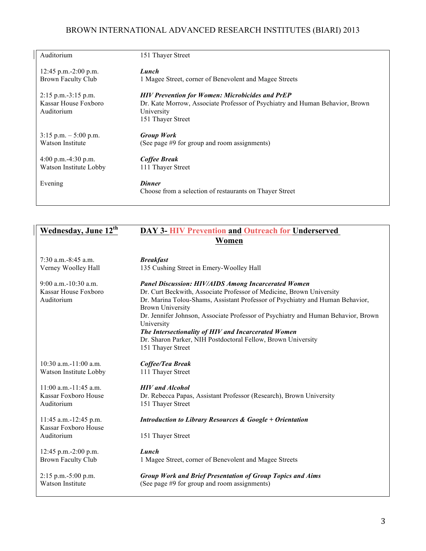| Auditorium                                                     | 151 Thayer Street                                                                                                                                                         |
|----------------------------------------------------------------|---------------------------------------------------------------------------------------------------------------------------------------------------------------------------|
| 12:45 p.m.-2:00 p.m.                                           | Lunch                                                                                                                                                                     |
| <b>Brown Faculty Club</b>                                      | 1 Magee Street, corner of Benevolent and Magee Streets                                                                                                                    |
| $2:15$ p.m. $-3:15$ p.m.<br>Kassar House Foxboro<br>Auditorium | <b>HIV Prevention for Women: Microbicides and PrEP</b><br>Dr. Kate Morrow, Associate Professor of Psychiatry and Human Behavior, Brown<br>University<br>151 Thayer Street |
| $3:15$ p.m. $-5:00$ p.m.                                       | <b>Group Work</b>                                                                                                                                                         |
| <b>Watson Institute</b>                                        | (See page #9 for group and room assignments)                                                                                                                              |
| 4:00 p.m. $-4:30$ p.m.                                         | <b>Coffee Break</b>                                                                                                                                                       |
| Watson Institute Lobby                                         | 111 Thayer Street                                                                                                                                                         |
| Evening                                                        | <b>Dinner</b><br>Choose from a selection of restaurants on Thayer Street                                                                                                  |

| <b>Wednesday</b> , June 12 <sup>th</sup>  | DAY 3- HIV Prevention and Outreach for Underserved                                                                |  |  |
|-------------------------------------------|-------------------------------------------------------------------------------------------------------------------|--|--|
|                                           | Women                                                                                                             |  |  |
|                                           |                                                                                                                   |  |  |
| $7:30$ a.m. $-8:45$ a.m.                  | <b>Breakfast</b>                                                                                                  |  |  |
| Verney Woolley Hall                       | 135 Cushing Street in Emery-Woolley Hall                                                                          |  |  |
| $9:00$ a.m.-10:30 a.m.                    | <b>Panel Discussion: HIV/AIDS Among Incarcerated Women</b>                                                        |  |  |
| Kassar House Foxboro                      | Dr. Curt Beckwith, Associate Professor of Medicine, Brown University                                              |  |  |
| Auditorium                                | Dr. Marina Tolou-Shams, Assistant Professor of Psychiatry and Human Behavior,                                     |  |  |
|                                           | <b>Brown University</b>                                                                                           |  |  |
|                                           | Dr. Jennifer Johnson, Associate Professor of Psychiatry and Human Behavior, Brown<br>University                   |  |  |
|                                           | The Intersectionality of HIV and Incarcerated Women                                                               |  |  |
|                                           | Dr. Sharon Parker, NIH Postdoctoral Fellow, Brown University                                                      |  |  |
|                                           | 151 Thayer Street                                                                                                 |  |  |
| 10:30 a.m.-11:00 a.m.                     | Coffee/Tea Break                                                                                                  |  |  |
| Watson Institute Lobby                    | 111 Thayer Street                                                                                                 |  |  |
|                                           |                                                                                                                   |  |  |
| $11:00$ a.m.-11:45 a.m.                   | <b>HIV</b> and Alcohol                                                                                            |  |  |
| Kassar Foxboro House                      | Dr. Rebecca Papas, Assistant Professor (Research), Brown University                                               |  |  |
| Auditorium                                | 151 Thayer Street                                                                                                 |  |  |
| $11:45$ a.m.-12:45 p.m.                   | <b>Introduction to Library Resources &amp; Google + Orientation</b>                                               |  |  |
| Kassar Foxboro House                      |                                                                                                                   |  |  |
| Auditorium                                | 151 Thayer Street                                                                                                 |  |  |
| 12:45 p.m.-2:00 p.m.                      | Lunch                                                                                                             |  |  |
| <b>Brown Faculty Club</b>                 | 1 Magee Street, corner of Benevolent and Magee Streets                                                            |  |  |
|                                           |                                                                                                                   |  |  |
| $2:15$ p.m.-5:00 p.m.<br>Watson Institute | <b>Group Work and Brief Presentation of Group Topics and Aims</b><br>(See page #9 for group and room assignments) |  |  |
|                                           |                                                                                                                   |  |  |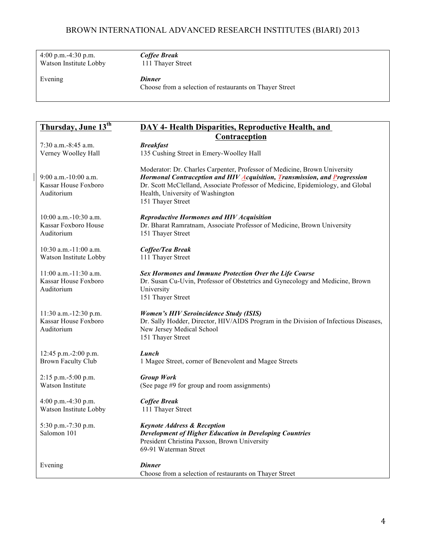| $4:00 \text{ p.m.} - 4:30 \text{ p.m.}$<br>Watson Institute Lobby | Coffee Break<br>111 Thayer Street |  |
|-------------------------------------------------------------------|-----------------------------------|--|
| Evening                                                           | <b>Dinner</b>                     |  |

 $\overline{\phantom{a}}$ 

Choose from a selection of restaurants on Thayer Street

| Thursday, June 13th                                          | DAY 4- Health Disparities, Reproductive Health, and                                                                                                                                                                                                                                                |  |  |
|--------------------------------------------------------------|----------------------------------------------------------------------------------------------------------------------------------------------------------------------------------------------------------------------------------------------------------------------------------------------------|--|--|
|                                                              | Contraception                                                                                                                                                                                                                                                                                      |  |  |
| $7:30$ a.m. $-8:45$ a.m.                                     | <b>Breakfast</b><br>135 Cushing Street in Emery-Woolley Hall                                                                                                                                                                                                                                       |  |  |
| Verney Woolley Hall                                          |                                                                                                                                                                                                                                                                                                    |  |  |
| $9:00$ a.m.-10:00 a.m.<br>Kassar House Foxboro<br>Auditorium | Moderator: Dr. Charles Carpenter, Professor of Medicine, Brown University<br>Hormonal Contraception and HIV Acquisition, Transmission, and Progression<br>Dr. Scott McClelland, Associate Professor of Medicine, Epidemiology, and Global<br>Health, University of Washington<br>151 Thayer Street |  |  |
| 10:00 a.m.-10:30 a.m.<br>Kassar Foxboro House                | <b>Reproductive Hormones and HIV Acquisition</b><br>Dr. Bharat Ramratnam, Associate Professor of Medicine, Brown University                                                                                                                                                                        |  |  |
| Auditorium                                                   | 151 Thayer Street                                                                                                                                                                                                                                                                                  |  |  |
| 10:30 a.m.-11:00 a.m.<br>Watson Institute Lobby              | Coffee/Tea Break<br>111 Thayer Street                                                                                                                                                                                                                                                              |  |  |
| 11:00 a.m.-11:30 a.m.<br>Kassar House Foxboro<br>Auditorium  | Sex Hormones and Immune Protection Over the Life Course<br>Dr. Susan Cu-Uvin, Professor of Obstetrics and Gynecology and Medicine, Brown<br>University<br>151 Thayer Street                                                                                                                        |  |  |
| 11:30 a.m.-12:30 p.m.<br>Kassar House Foxboro<br>Auditorium  | <b>Women's HIV Seroincidence Study (ISIS)</b><br>Dr. Sally Hodder, Director, HIV/AIDS Program in the Division of Infectious Diseases,<br>New Jersey Medical School<br>151 Thayer Street                                                                                                            |  |  |
| 12:45 p.m.-2:00 p.m.<br><b>Brown Faculty Club</b>            | Lunch<br>1 Magee Street, corner of Benevolent and Magee Streets                                                                                                                                                                                                                                    |  |  |
| 2:15 p.m.-5:00 p.m.<br>Watson Institute                      | <b>Group Work</b><br>(See page #9 for group and room assignments)                                                                                                                                                                                                                                  |  |  |
| 4:00 p.m. $-4:30$ p.m.<br>Watson Institute Lobby             | <b>Coffee Break</b><br>111 Thayer Street                                                                                                                                                                                                                                                           |  |  |
| 5:30 p.m.-7:30 p.m.<br>Salomon 101                           | <b>Keynote Address &amp; Reception</b><br><b>Development of Higher Education in Developing Countries</b><br>President Christina Paxson, Brown University<br>69-91 Waterman Street                                                                                                                  |  |  |
| Evening                                                      | <b>Dinner</b><br>Choose from a selection of restaurants on Thayer Street                                                                                                                                                                                                                           |  |  |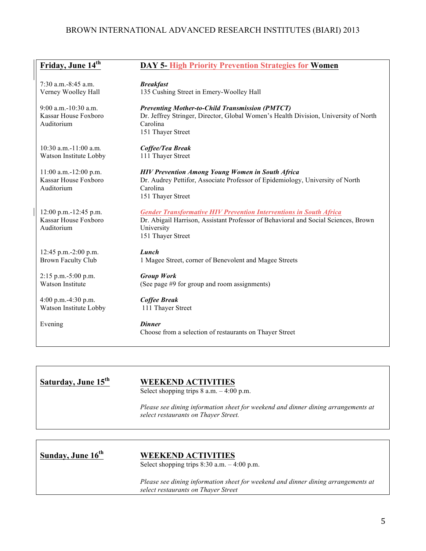| Friday, June 14th                                             | <b>DAY 5-High Priority Prevention Strategies for Women</b>                                                                                                                                         |  |
|---------------------------------------------------------------|----------------------------------------------------------------------------------------------------------------------------------------------------------------------------------------------------|--|
| $7:30$ a.m. $-8:45$ a.m.                                      | <b>Breakfast</b>                                                                                                                                                                                   |  |
| Verney Woolley Hall                                           | 135 Cushing Street in Emery-Woolley Hall                                                                                                                                                           |  |
| $9:00$ a.m.-10:30 a.m.<br>Kassar House Foxboro<br>Auditorium  | <b>Preventing Mother-to-Child Transmission (PMTCT)</b><br>Dr. Jeffrey Stringer, Director, Global Women's Health Division, University of North<br>Carolina<br>151 Thayer Street                     |  |
| $10:30$ a.m. -11:00 a.m.                                      | Coffee/Tea Break                                                                                                                                                                                   |  |
| Watson Institute Lobby                                        | 111 Thayer Street                                                                                                                                                                                  |  |
| $11:00$ a.m.-12:00 p.m.<br>Kassar House Foxboro<br>Auditorium | <b>HIV Prevention Among Young Women in South Africa</b><br>Dr. Audrey Pettifor, Associate Professor of Epidemiology, University of North<br>Carolina<br>151 Thayer Street                          |  |
| 12:00 p.m.-12:45 p.m.<br>Kassar House Foxboro<br>Auditorium   | <b>Gender Transformative HIV Prevention Interventions in South Africa</b><br>Dr. Abigail Harrison, Assistant Professor of Behavioral and Social Sciences, Brown<br>University<br>151 Thayer Street |  |
| 12:45 p.m.-2:00 p.m.                                          | Lunch                                                                                                                                                                                              |  |
| <b>Brown Faculty Club</b>                                     | 1 Magee Street, corner of Benevolent and Magee Streets                                                                                                                                             |  |
| $2:15$ p.m.-5:00 p.m.                                         | <b>Group Work</b>                                                                                                                                                                                  |  |
| Watson Institute                                              | (See page #9 for group and room assignments)                                                                                                                                                       |  |
| 4:00 p.m. $-4:30$ p.m.                                        | <b>Coffee Break</b>                                                                                                                                                                                |  |
| Watson Institute Lobby                                        | 111 Thayer Street                                                                                                                                                                                  |  |
| Evening                                                       | <b>Dinner</b><br>Choose from a selection of restaurants on Thayer Street                                                                                                                           |  |

| Saturday, June 15 <sup>th</sup> | <b>WEEKEND ACTIVITIES</b>                   |  |
|---------------------------------|---------------------------------------------|--|
|                                 | Select shopping trips $8$ a.m. $-4:00$ p.m. |  |

*Please see dining information sheet for weekend and dinner dining arrangements at select restaurants on Thayer Street.*

# **Sunday, June 16th WEEKEND ACTIVITIES**

Select shopping trips  $8:30$  a.m.  $-4:00$  p.m.

*Please see dining information sheet for weekend and dinner dining arrangements at select restaurants on Thayer Street*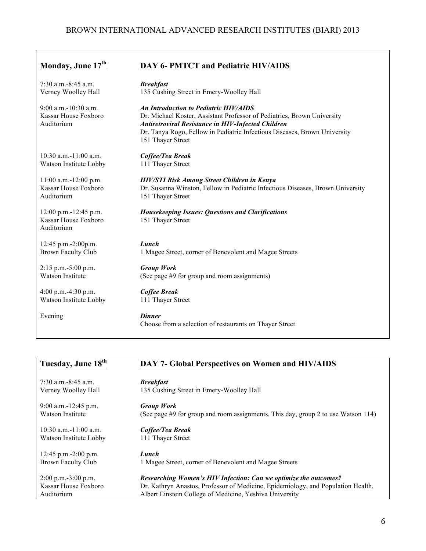$\Gamma$ 

| Monday, June 17 <sup>th</sup>                                | DAY 6- PMTCT and Pediatric HIV/AIDS                                                                                                                                                                                                                                             |
|--------------------------------------------------------------|---------------------------------------------------------------------------------------------------------------------------------------------------------------------------------------------------------------------------------------------------------------------------------|
| $7:30$ a.m. $-8:45$ a.m.                                     | <b>Breakfast</b>                                                                                                                                                                                                                                                                |
| Verney Woolley Hall                                          | 135 Cushing Street in Emery-Woolley Hall                                                                                                                                                                                                                                        |
| $9:00$ a.m.-10:30 a.m.<br>Kassar House Foxboro<br>Auditorium | <b>An Introduction to Pediatric HIV/AIDS</b><br>Dr. Michael Koster, Assistant Professor of Pediatrics, Brown University<br>Antiretroviral Resistance in HIV-Infected Children<br>Dr. Tanya Rogo, Fellow in Pediatric Infectious Diseases, Brown University<br>151 Thayer Street |
| $10:30$ a.m.-11:00 a.m.                                      | Coffee/Tea Break                                                                                                                                                                                                                                                                |
| Watson Institute Lobby                                       | 111 Thayer Street                                                                                                                                                                                                                                                               |
| $11:00$ a.m.-12:00 p.m.                                      | HIV/STI Risk Among Street Children in Kenya                                                                                                                                                                                                                                     |
| Kassar House Foxboro                                         | Dr. Susanna Winston, Fellow in Pediatric Infectious Diseases, Brown University                                                                                                                                                                                                  |
| Auditorium                                                   | 151 Thayer Street                                                                                                                                                                                                                                                               |
| 12:00 p.m.-12:45 p.m.<br>Kassar House Foxboro<br>Auditorium  | <b>Housekeeping Issues: Questions and Clarifications</b><br>151 Thayer Street                                                                                                                                                                                                   |
| 12:45 p.m.-2:00p.m.                                          | Lunch                                                                                                                                                                                                                                                                           |
| <b>Brown Faculty Club</b>                                    | 1 Magee Street, corner of Benevolent and Magee Streets                                                                                                                                                                                                                          |
| $2:15$ p.m.-5:00 p.m.                                        | <b>Group Work</b>                                                                                                                                                                                                                                                               |
| Watson Institute                                             | (See page #9 for group and room assignments)                                                                                                                                                                                                                                    |
| 4:00 p.m. $-4:30$ p.m.                                       | <b>Coffee Break</b>                                                                                                                                                                                                                                                             |
| Watson Institute Lobby                                       | 111 Thayer Street                                                                                                                                                                                                                                                               |
| Evening                                                      | <b>Dinner</b><br>Choose from a selection of restaurants on Thayer Street                                                                                                                                                                                                        |

| Tuesday, June 18 <sup>th</sup>          | DAY 7- Global Perspectives on Women and HIV/AIDS                                  |  |
|-----------------------------------------|-----------------------------------------------------------------------------------|--|
| $7:30$ a.m. $-8:45$ a.m.                | <b>Breakfast</b>                                                                  |  |
| Verney Woolley Hall                     | 135 Cushing Street in Emery-Woolley Hall                                          |  |
| $9:00$ a.m.-12:45 p.m.                  | <b>Group Work</b>                                                                 |  |
| Watson Institute                        | (See page #9 for group and room assignments. This day, group 2 to use Watson 114) |  |
| $10:30$ a.m. $-11:00$ a.m.              | Coffee/Tea Break                                                                  |  |
| Watson Institute Lobby                  | 111 Thayer Street                                                                 |  |
| 12:45 p.m. $-2:00$ p.m.                 | Lunch                                                                             |  |
| Brown Faculty Club                      | 1 Magee Street, corner of Benevolent and Magee Streets                            |  |
| $2:00 \text{ p.m.} - 3:00 \text{ p.m.}$ | Researching Women's HIV Infection: Can we optimize the outcomes?                  |  |
| Kassar House Foxboro                    | Dr. Kathryn Anastos, Professor of Medicine, Epidemiology, and Population Health,  |  |
| Auditorium                              | Albert Einstein College of Medicine, Yeshiva University                           |  |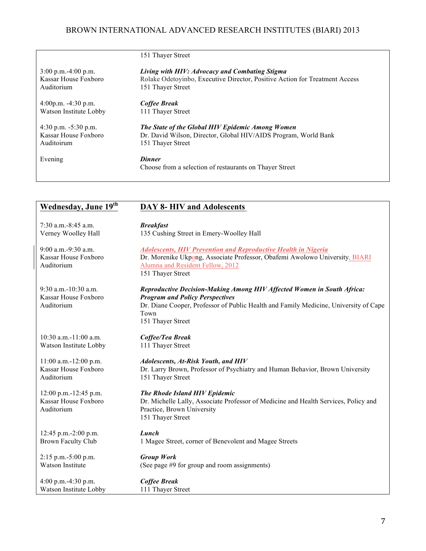|                          | 151 Thaver Street                                                           |  |
|--------------------------|-----------------------------------------------------------------------------|--|
| $3:00$ p.m. $-4:00$ p.m. | Living with HIV: Advocacy and Combating Stigma                              |  |
| Kassar House Foxboro     | Rolake Odetoyinbo, Executive Director, Positive Action for Treatment Access |  |
| Auditorium               | 151 Thaver Street                                                           |  |
| 4:00p.m. $-4:30$ p.m.    | Coffee Break                                                                |  |
| Watson Institute Lobby   | 111 Thayer Street                                                           |  |
| 4:30 p.m. $-5:30$ p.m.   | The State of the Global HIV Epidemic Among Women                            |  |
| Kassar House Foxboro     | Dr. David Wilson, Director, Global HIV/AIDS Program, World Bank             |  |
| Auditoirum               | 151 Thayer Street                                                           |  |
| Evening                  | <b>Dinner</b><br>Choose from a selection of restaurants on Thayer Street    |  |

| <b>Wednesday</b> , June 19 <sup>th</sup>                      | <b>DAY 8-HIV and Adolescents</b>                                                                                                                                                                                                      |  |
|---------------------------------------------------------------|---------------------------------------------------------------------------------------------------------------------------------------------------------------------------------------------------------------------------------------|--|
| $7:30$ a.m. $-8:45$ a.m.                                      | <b>Breakfast</b>                                                                                                                                                                                                                      |  |
| Verney Woolley Hall                                           | 135 Cushing Street in Emery-Woolley Hall                                                                                                                                                                                              |  |
| 9:00 a.m.-9:30 a.m.<br>Kassar House Foxboro<br>Auditorium     | <b>Adolescents, HIV Prevention and Reproductive Health in Nigeria</b><br>Dr. Morenike Ukpong, Associate Professor, Obafemi Awolowo University, BIARI<br>Alumna and Resident Fellow, 2012<br>151 Thayer Street                         |  |
| 9:30 a.m.-10:30 a.m.<br>Kassar House Foxboro<br>Auditorium    | Reproductive Decision-Making Among HIV Affected Women in South Africa:<br><b>Program and Policy Perspectives</b><br>Dr. Diane Cooper, Professor of Public Health and Family Medicine, University of Cape<br>Town<br>151 Thayer Street |  |
| 10:30 a.m.-11:00 a.m.                                         | Coffee/Tea Break                                                                                                                                                                                                                      |  |
| Watson Institute Lobby                                        | 111 Thayer Street                                                                                                                                                                                                                     |  |
| $11:00$ a.m.-12:00 p.m.                                       | Adolescents, At-Risk Youth, and HIV                                                                                                                                                                                                   |  |
| Kassar House Foxboro                                          | Dr. Larry Brown, Professor of Psychiatry and Human Behavior, Brown University                                                                                                                                                         |  |
| Auditorium                                                    | 151 Thayer Street                                                                                                                                                                                                                     |  |
| $12:00$ p.m.-12:45 p.m.<br>Kassar House Foxboro<br>Auditorium | The Rhode Island HIV Epidemic<br>Dr. Michelle Lally, Associate Professor of Medicine and Health Services, Policy and<br>Practice, Brown University<br>151 Thayer Street                                                               |  |
| 12:45 p.m.-2:00 p.m.                                          | Lunch                                                                                                                                                                                                                                 |  |
| <b>Brown Faculty Club</b>                                     | 1 Magee Street, corner of Benevolent and Magee Streets                                                                                                                                                                                |  |
| 2:15 p.m.-5:00 p.m.                                           | <b>Group Work</b>                                                                                                                                                                                                                     |  |
| Watson Institute                                              | (See page #9 for group and room assignments)                                                                                                                                                                                          |  |
| 4:00 p.m. $-4:30$ p.m.                                        | <b>Coffee Break</b>                                                                                                                                                                                                                   |  |
| Watson Institute Lobby                                        | 111 Thayer Street                                                                                                                                                                                                                     |  |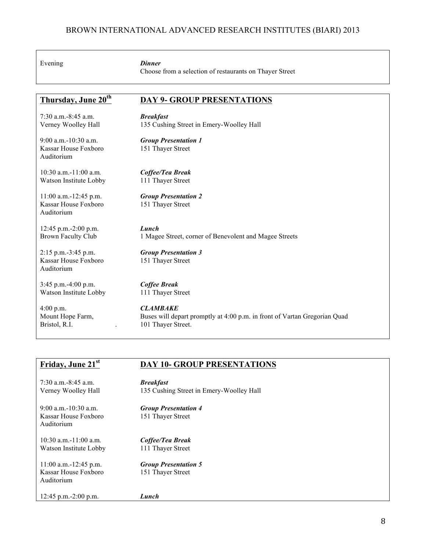Evening *Dinner*

Choose from a selection of restaurants on Thayer Street

| Thursday, June 20 <sup>th</sup>                                 | <b>DAY 9- GROUP PRESENTATIONS</b>                                         |
|-----------------------------------------------------------------|---------------------------------------------------------------------------|
| $7:30$ a.m. $-8:45$ a.m.                                        | <b>Breakfast</b>                                                          |
| Verney Woolley Hall                                             | 135 Cushing Street in Emery-Woolley Hall                                  |
| $9:00$ a.m. $-10:30$ a.m.<br>Kassar House Foxboro<br>Auditorium | <b>Group Presentation 1</b><br>151 Thayer Street                          |
| $10:30$ a.m. -11:00 a.m.                                        | Coffee/Tea Break                                                          |
| Watson Institute Lobby                                          | 111 Thayer Street                                                         |
| $11:00$ a.m.-12:45 p.m.<br>Kassar House Foxboro<br>Auditorium   | <b>Group Presentation 2</b><br>151 Thayer Street                          |
| 12:45 p.m.-2:00 p.m.                                            | Lunch                                                                     |
| <b>Brown Faculty Club</b>                                       | 1 Magee Street, corner of Benevolent and Magee Streets                    |
| $2:15$ p.m.-3:45 p.m.<br>Kassar House Foxboro<br>Auditorium     | <b>Group Presentation 3</b><br>151 Thayer Street                          |
| 3:45 p.m.-4:00 p.m.                                             | <b>Coffee Break</b>                                                       |
| Watson Institute Lobby                                          | 111 Thayer Street                                                         |
| $4:00$ p.m.                                                     | <b>CLAMBAKE</b>                                                           |
| Mount Hope Farm,                                                | Buses will depart promptly at 4:00 p.m. in front of Vartan Gregorian Quad |
| Bristol, R.I.                                                   | 101 Thayer Street.                                                        |

## **Friday, June 21st DAY 10- GROUP PRESENTATIONS**

| $7:30$ a.m. $-8:45$ a.m.<br>Verney Woolley Hall                 | <b>Breakfast</b><br>135 Cushing Street in Emery-Woolley Hall |
|-----------------------------------------------------------------|--------------------------------------------------------------|
| $9:00$ a.m. $-10:30$ a.m.<br>Kassar House Foxboro<br>Auditorium | <b>Group Presentation 4</b><br>151 Thayer Street             |
| $10:30$ a.m. $-11:00$ a.m.<br>Watson Institute Lobby            | Coffee/Tea Break<br>111 Thayer Street                        |
| $11:00$ a.m.-12:45 p.m.<br>Kassar House Foxboro<br>Auditorium   | <b>Group Presentation 5</b><br>151 Thayer Street             |
| 12:45 p.m. $-2:00$ p.m.                                         | Lunch                                                        |